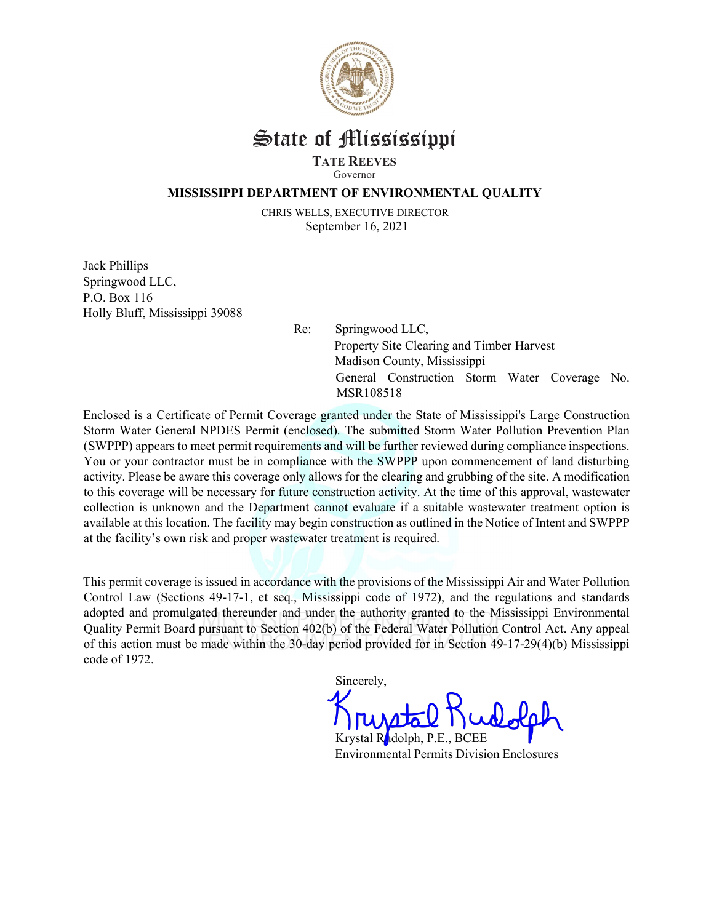

## State of Mississippi

### TATE REEVES

Governor

#### MISSISSIPPI DEPARTMENT OF ENVIRONMENTAL QUALITY

CHRIS WELLS, EXECUTIVE DIRECTOR September 16, 2021

Jack Phillips Springwood LLC, P.O. Box 116 Holly Bluff, Mississippi 39088

Re: Springwood LLC, Property Site Clearing and Timber Harvest Madison County, Mississippi General Construction Storm Water Coverage No. MSR108518

Enclosed is a Certificate of Permit Coverage granted under the State of Mississippi's Large Construction Storm Water General NPDES Permit (enclosed). The submitted Storm Water Pollution Prevention Plan (SWPPP) appears to meet permit requirements and will be further reviewed during compliance inspections. You or your contractor must be in compliance with the SWPPP upon commencement of land disturbing activity. Please be aware this coverage only allows for the clearing and grubbing of the site. A modification to this coverage will be necessary for future construction activity. At the time of this approval, wastewater collection is unknown and the Department cannot evaluate if a suitable wastewater treatment option is available at this location. The facility may begin construction as outlined in the Notice of Intent and SWPPP at the facility's own risk and proper wastewater treatment is required.

This permit coverage is issued in accordance with the provisions of the Mississippi Air and Water Pollution Control Law (Sections 49-17-1, et seq., Mississippi code of 1972), and the regulations and standards adopted and promulgated thereunder and under the authority granted to the Mississippi Environmental Quality Permit Board pursuant to Section 402(b) of the Federal Water Pollution Control Act. Any appeal of this action must be made within the 30-day period provided for in Section 49-17-29(4)(b) Mississippi code of 1972.

Sincerely,

Krystal Rudolph, P.E., BCEE Environmental Permits Division Enclosures